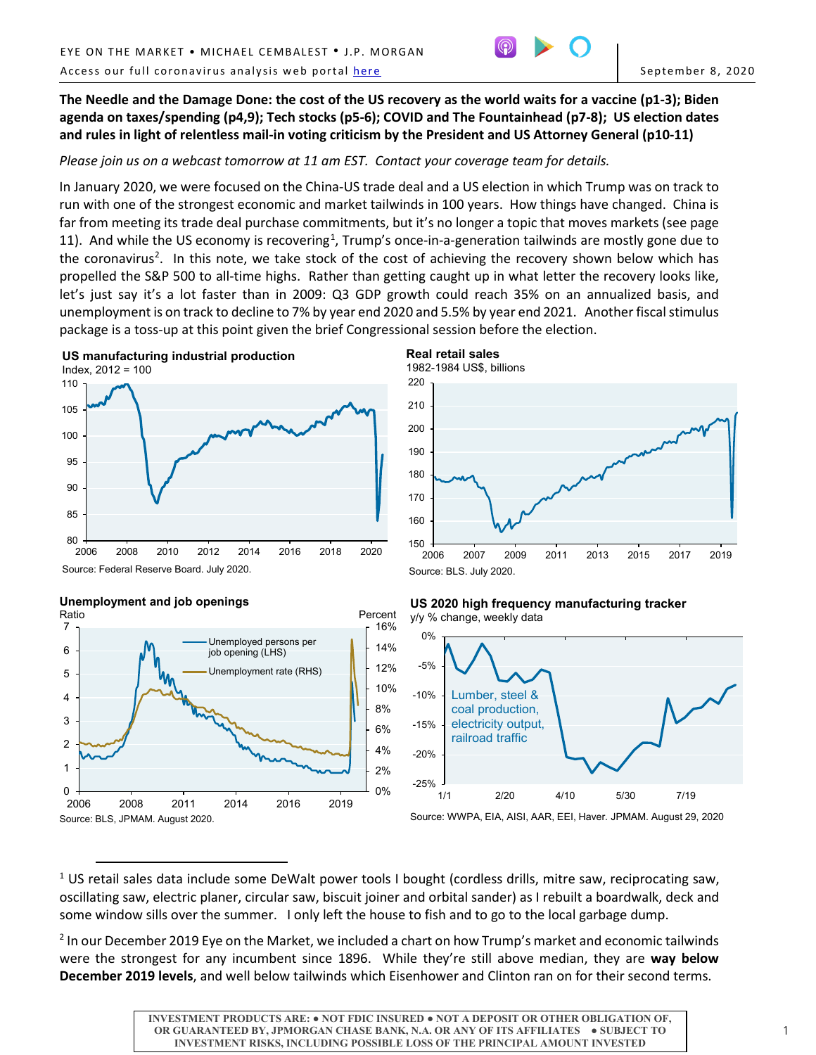

**The Needle and the Damage Done: the cost of the US recovery as the world waits for a vaccine (p1-3); Biden agenda on taxes/spending (p4,9); Tech stocks (p5-6); COVID and The Fountainhead (p7-8); US election dates and rules in light of relentless mail-in voting criticism by the President and US Attorney General (p10-11)**

*Please join us on a webcast tomorrow at 11 am EST. Contact your coverage team for details.*

In January 2020, we were focused on the China-US trade deal and a US election in which Trump was on track to run with one of the strongest economic and market tailwinds in 100 years. How things have changed. China is far from meeting its trade deal purchase commitments, but it's no longer a topic that moves markets (see page [1](#page-0-0)1). And while the US economy is recovering<sup>1</sup>, Trump's once-in-a-generation tailwinds are mostly gone due to the coronavirus<sup>[2](#page-0-1)</sup>. In this note, we take stock of the cost of achieving the recovery shown below which has propelled the S&P 500 to all-time highs. Rather than getting caught up in what letter the recovery looks like, let's just say it's a lot faster than in 2009: Q3 GDP growth could reach 35% on an annualized basis, and unemployment is on track to decline to 7% by year end 2020 and 5.5% by year end 2021. Another fiscal stimulus package is a toss-up at this point given the brief Congressional session before the election.



— 150<br>2006 160 170 180 190 200 210 220 2006 2007 2009 2011 2013 2015 2017 2019 **Real retail sales** 1982-1984 US\$, billions Source: BLS. July 2020.

Source: Federal Reserve Board. July 2020.



# **Unemployment and job openings**

 $\overline{a}$ 

#### **US 2020 high frequency manufacturing tracker**  y/y % change, weekly data



Source: WWPA, EIA, AISI, AAR, EEI, Haver. JPMAM. August 29, 2020

<span id="page-0-0"></span><sup>1</sup> US retail sales data include some DeWalt power tools I bought (cordless drills, mitre saw, reciprocating saw, oscillating saw, electric planer, circular saw, biscuit joiner and orbital sander) as I rebuilt a boardwalk, deck and some window sills over the summer. I only left the house to fish and to go to the local garbage dump.

<span id="page-0-1"></span><sup>2</sup> In our December 2019 Eye on the Market, we included a chart on how Trump's market and economic tailwinds were the strongest for any incumbent since 1896. While they're still above median, they are **way below December 2019 levels**, and well below tailwinds which Eisenhower and Clinton ran on for their second terms.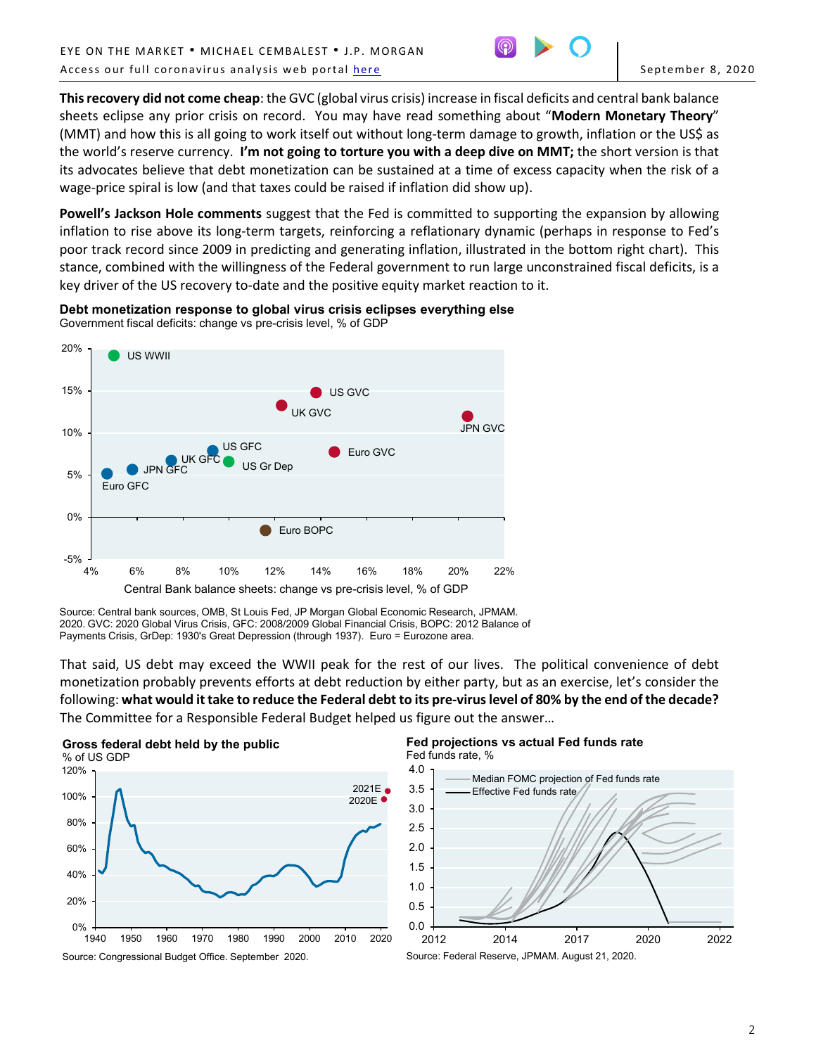

**This recovery did not come cheap**: the GVC (global virus crisis) increase in fiscal deficits and central bank balance sheets eclipse any prior crisis on record. You may have read something about "**Modern Monetary Theory**" (MMT) and how this is all going to work itself out without long-term damage to growth, inflation or the US\$ as the world's reserve currency. **I'm not going to torture you with a deep dive on MMT;** the short version is that its advocates believe that debt monetization can be sustained at a time of excess capacity when the risk of a wage-price spiral is low (and that taxes could be raised if inflation did show up).

**Powell's Jackson Hole comments** suggest that the Fed is committed to supporting the expansion by allowing inflation to rise above its long-term targets, reinforcing a reflationary dynamic (perhaps in response to Fed's poor track record since 2009 in predicting and generating inflation, illustrated in the bottom right chart). This stance, combined with the willingness of the Federal government to run large unconstrained fiscal deficits, is a key driver of the US recovery to-date and the positive equity market reaction to it.



**Debt monetization response to global virus crisis eclipses everything else** Government fiscal deficits: change vs pre-crisis level, % of GDP

That said, US debt may exceed the WWII peak for the rest of our lives.The political convenience of debt monetization probably prevents efforts at debt reduction by either party, but as an exercise, let's consider the following: **what would it take to reduce the Federal debt to its pre-virus level of 80% by the end of the decade?** The Committee for a Responsible Federal Budget helped us figure out the answer…



#### **Fed projections vs actual Fed funds rate** Fed funds rate, %



Source: Central bank sources, OMB, St Louis Fed, JP Morgan Global Economic Research, JPMAM. 2020. GVC: 2020 Global Virus Crisis, GFC: 2008/2009 Global Financial Crisis, BOPC: 2012 Balance of Payments Crisis, GrDep: 1930's Great Depression (through 1937). Euro = Eurozone area.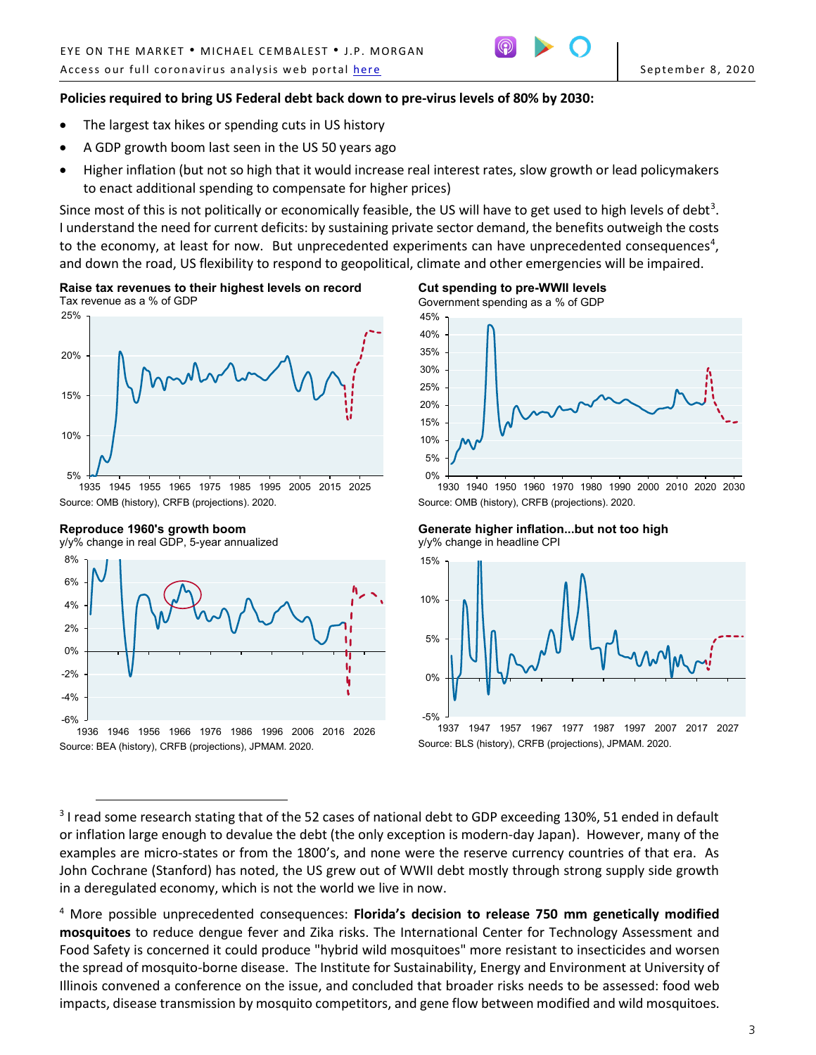

# **Policies required to bring US Federal debt back down to pre-virus levels of 80% by 2030:**

- The largest tax hikes or spending cuts in US history
- A GDP growth boom last seen in the US 50 years ago
- Higher inflation (but not so high that it would increase real interest rates, slow growth or lead policymakers to enact additional spending to compensate for higher prices)

Since most of this is not politically or economically feasible, the US will have to get used to high levels of debt<sup>[3](#page-2-0)</sup>. I understand the need for current deficits: by sustaining private sector demand, the benefits outweigh the costs to the economy, at least for now. But unprecedented experiments can have unprecedented consequences<sup>[4](#page-2-1)</sup>, and down the road, US flexibility to respond to geopolitical, climate and other emergencies will be impaired.

**Raise tax revenues to their highest levels on record** Tax revenue as a % of GDP



Source: OMB (history), CRFB (projections). 2020.

**Reproduce 1960's growth boom**





Government spending as a % of GDP



1930 1940 1950 1960 1970 1980 1990 2000 2010 2020 2030 Source: OMB (history), CRFB (projections). 2020.

**Generate higher inflation...but not too high** y/y% change in headline CPI

Source: BLS (history), CRFB (projections), JPMAM. 2020.



**Cut spending to pre-WWII levels**

<span id="page-2-0"></span> $\overline{a}$ <sup>3</sup> I read some research stating that of the 52 cases of national debt to GDP exceeding 130%, 51 ended in default or inflation large enough to devalue the debt (the only exception is modern-day Japan). However, many of the examples are micro-states or from the 1800's, and none were the reserve currency countries of that era. As John Cochrane (Stanford) has noted, the US grew out of WWII debt mostly through strong supply side growth in a deregulated economy, which is not the world we live in now.

<span id="page-2-1"></span><sup>4</sup> More possible unprecedented consequences: **Florida's decision to release 750 mm genetically modified mosquitoes** to reduce dengue fever and Zika risks. The International Center for Technology Assessment and Food Safety is concerned it could produce "hybrid wild mosquitoes" more resistant to insecticides and worsen the spread of mosquito-borne disease. The Institute for Sustainability, Energy and Environment at University of Illinois convened a conference on the issue, and concluded that broader risks needs to be assessed: food web impacts, disease transmission by mosquito competitors, and gene flow between modified and wild mosquitoes.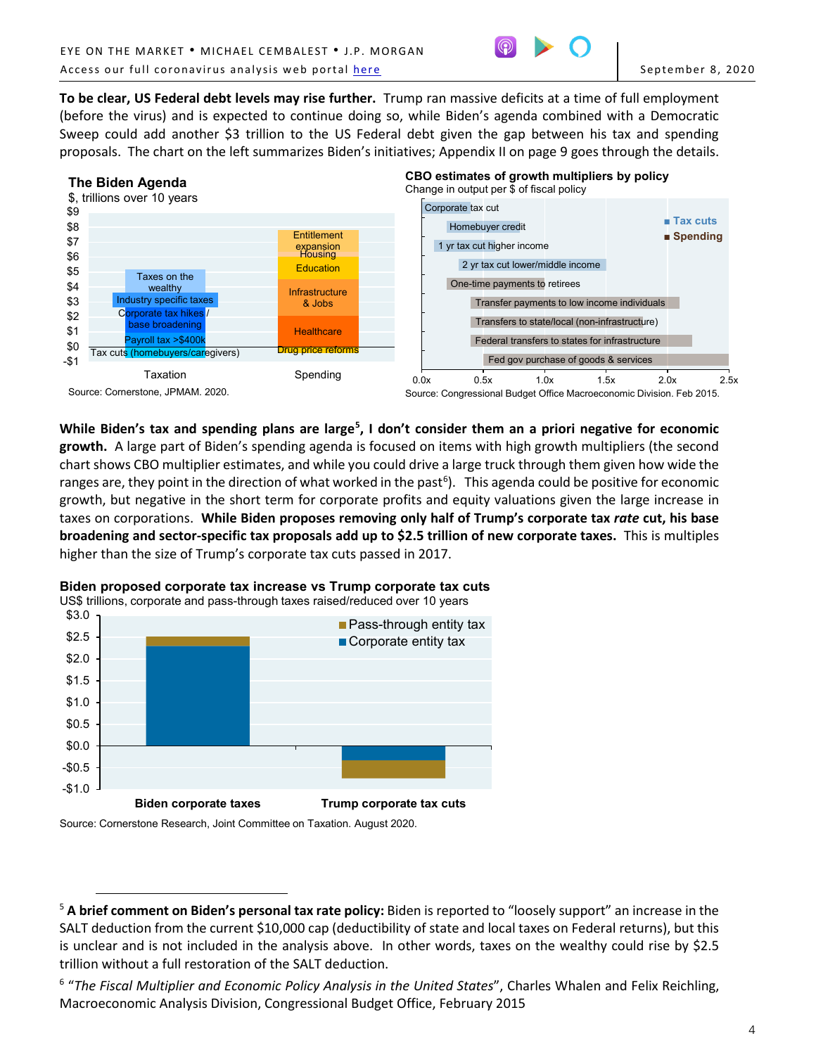

**To be clear, US Federal debt levels may rise further.** Trump ran massive deficits at a time of full employment (before the virus) and is expected to continue doing so, while Biden's agenda combined with a Democratic Sweep could add another \$3 trillion to the US Federal debt given the gap between his tax and spending proposals. The chart on the left summarizes Biden's initiatives; Appendix II on page 9 goes through the details.



While Biden's tax and spending plans are large<sup>[5](#page-3-0)</sup>, I don't consider them an a priori negative for economic **growth.** A large part of Biden's spending agenda is focused on items with high growth multipliers (the second chart shows CBO multiplier estimates, and while you could drive a large truck through them given how wide the ranges are, they point in the direction of what worked in the past<sup>[6](#page-3-1)</sup>). This agenda could be positive for economic growth, but negative in the short term for corporate profits and equity valuations given the large increase in taxes on corporations. **While Biden proposes removing only half of Trump's corporate tax** *rate* **cut, his base broadening and sector-specific tax proposals add up to \$2.5 trillion of new corporate taxes.** This is multiples higher than the size of Trump's corporate tax cuts passed in 2017.



# **Biden proposed corporate tax increase vs Trump corporate tax cuts**

Source: Cornerstone Research, Joint Committee on Taxation. August 2020.

 $\overline{a}$ 

<span id="page-3-0"></span><sup>5</sup> **A brief comment on Biden's personal tax rate policy:** Biden is reported to "loosely support" an increase in the SALT deduction from the current \$10,000 cap (deductibility of state and local taxes on Federal returns), but this is unclear and is not included in the analysis above. In other words, taxes on the wealthy could rise by \$2.5 trillion without a full restoration of the SALT deduction.

<span id="page-3-1"></span><sup>6</sup> "*The Fiscal Multiplier and Economic Policy Analysis in the United States*", Charles Whalen and Felix Reichling, Macroeconomic Analysis Division, Congressional Budget Office, February 2015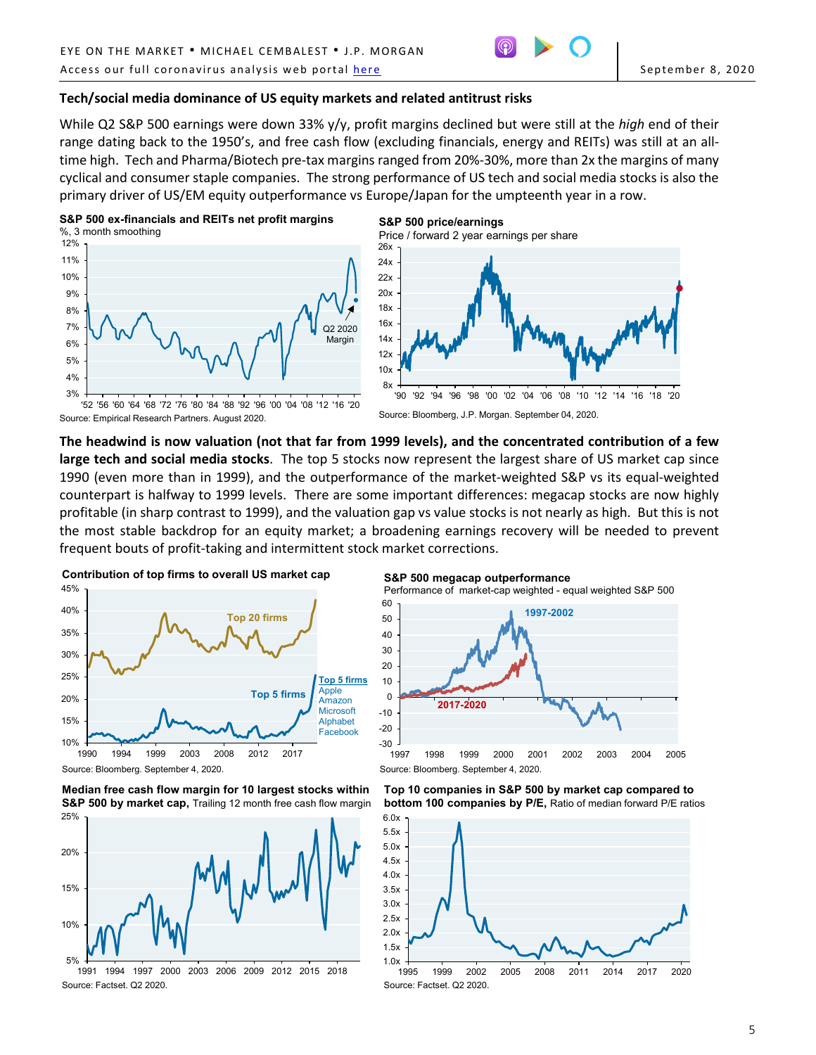

#### **Tech/social media dominance of US equity markets and related antitrust risks**

While Q2 S&P 500 earnings were down 33% y/y, profit margins declined but were still at the *high* end of their range dating back to the 1950's, and free cash flow (excluding financials, energy and REITs) was still at an alltime high. Tech and Pharma/Biotech pre-tax margins ranged from 20%-30%, more than 2x the margins of many cyclical and consumer staple companies. The strong performance of US tech and social media stocks is also the primary driver of US/EM equity outperformance vs Europe/Japan for the umpteenth year in a row.

**S&P 500 price/earnings**





14x 16x 18x 20x 22x 24x 26x Price / forward 2 year earnings per share



'52 '56 '60 '64 '68 '72 '76 '80 '84 '88 '92 '96 '00 '04 '08 '12 '16 '20 Source: Empirical Research Partners. August 2020.

**The headwind is now valuation (not that far from 1999 levels), and the concentrated contribution of a few large tech and social media stocks**. The top 5 stocks now represent the largest share of US market cap since 1990 (even more than in 1999), and the outperformance of the market-weighted S&P vs its equal-weighted counterpart is halfway to 1999 levels. There are some important differences: megacap stocks are now highly profitable (in sharp contrast to 1999), and the valuation gap vs value stocks is not nearly as high. But this is not the most stable backdrop for an equity market; a broadening earnings recovery will be needed to prevent frequent bouts of profit-taking and intermittent stock market corrections.







**S&P 500 megacap outperformance** Performance of market-cap weighted - equal weighted S&P 500



**Top 10 companies in S&P 500 by market cap compared to bottom 100 companies by P/E,** Ratio of median forward P/E ratios

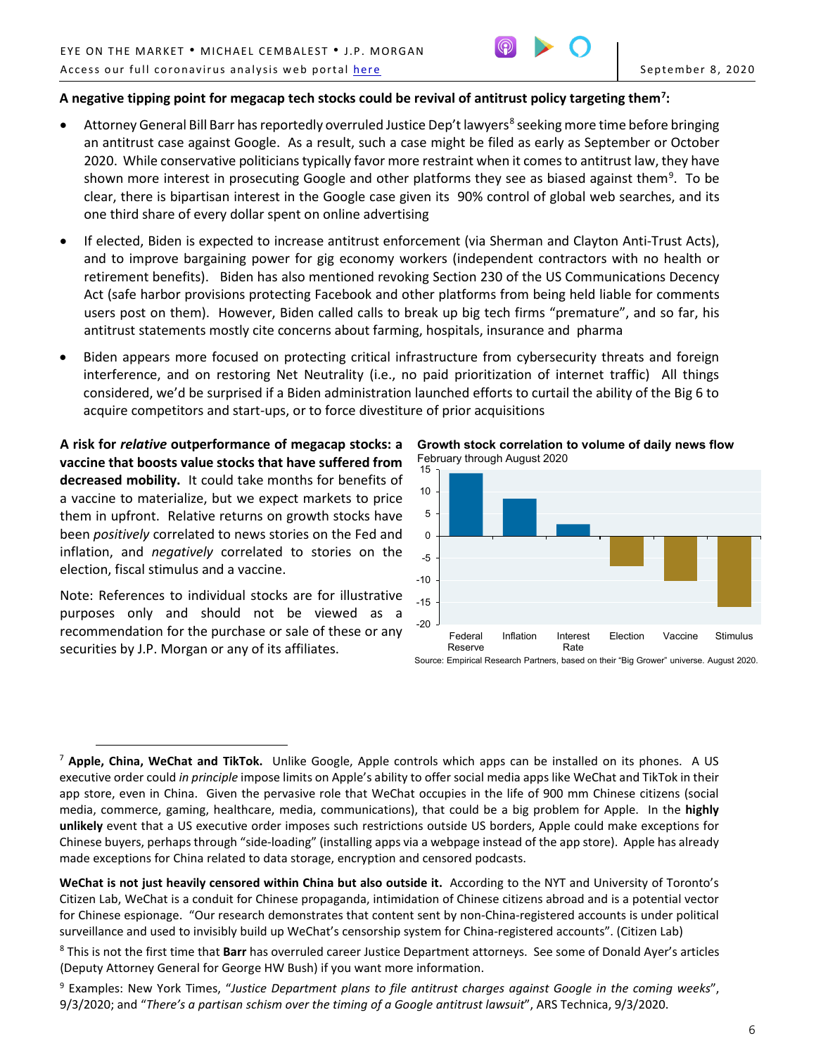

# **A negative tipping point for megacap tech stocks could be revival of antitrust policy targeting them[7](#page-5-0) :**

- Attorney General Bill Barr has reportedly overruled Justice Dep't lawyers<sup>[8](#page-5-1)</sup> seeking more time before bringing an antitrust case against Google. As a result, such a case might be filed as early as September or October 2020. While conservative politicians typically favor more restraint when it comes to antitrust law, they have shown more interest in prosecuting Google and other platforms they see as biased against them<sup>[9](#page-5-2)</sup>. To be clear, there is bipartisan interest in the Google case given its 90% control of global web searches, and its one third share of every dollar spent on online advertising
- If elected, Biden is expected to increase antitrust enforcement (via Sherman and Clayton Anti-Trust Acts), and to improve bargaining power for gig economy workers (independent contractors with no health or retirement benefits). Biden has also mentioned revoking Section 230 of the US Communications Decency Act (safe harbor provisions protecting Facebook and other platforms from being held liable for comments users post on them). However, Biden called calls to break up big tech firms "premature", and so far, his antitrust statements mostly cite concerns about farming, hospitals, insurance and pharma
- Biden appears more focused on protecting critical infrastructure from cybersecurity threats and foreign interference, and on restoring Net Neutrality (i.e., no paid prioritization of internet traffic) All things considered, we'd be surprised if a Biden administration launched efforts to curtail the ability of the Big 6 to acquire competitors and start-ups, or to force divestiture of prior acquisitions

**A risk for** *relative* **outperformance of megacap stocks: a vaccine that boosts value stocks that have suffered from decreased mobility.** It could take months for benefits of a vaccine to materialize, but we expect markets to price them in upfront. Relative returns on growth stocks have been *positively* correlated to news stories on the Fed and inflation, and *negatively* correlated to stories on the election, fiscal stimulus and a vaccine.

Note: References to individual stocks are for illustrative purposes only and should not be viewed as a recommendation for the purchase or sale of these or any securities by J.P. Morgan or any of its affiliates.

**Growth stock correlation to volume of daily news flow** February through August 2020



Source: Empirical Research Partners, based on their "Big Grower" universe. August 2020.

<span id="page-5-0"></span> $\overline{a}$ <sup>7</sup> **Apple, China, WeChat and TikTok.** Unlike Google, Apple controls which apps can be installed on its phones. A US executive order could *in principle* impose limits on Apple's ability to offer social media apps like WeChat and TikTok in their app store, even in China. Given the pervasive role that WeChat occupies in the life of 900 mm Chinese citizens (social media, commerce, gaming, healthcare, media, communications), that could be a big problem for Apple. In the **highly unlikely** event that a US executive order imposes such restrictions outside US borders, Apple could make exceptions for Chinese buyers, perhaps through "side-loading" (installing apps via a webpage instead of the app store). Apple has already made exceptions for China related to data storage, encryption and censored podcasts.

**WeChat is not just heavily censored within China but also outside it.** According to the NYT and University of Toronto's Citizen Lab, WeChat is a conduit for Chinese propaganda, intimidation of Chinese citizens abroad and is a potential vector for Chinese espionage. "Our research demonstrates that content sent by non-China-registered accounts is under political surveillance and used to invisibly build up WeChat's censorship system for China-registered accounts". (Citizen Lab)

<span id="page-5-1"></span><sup>8</sup> This is not the first time that **Barr** has overruled career Justice Department attorneys. See some of Donald Ayer's articles (Deputy Attorney General for George HW Bush) if you want more information.

<span id="page-5-2"></span><sup>9</sup> Examples: New York Times, "*Justice Department plans to file antitrust charges against Google in the coming weeks*", 9/3/2020; and "*There's a partisan schism over the timing of a Google antitrust lawsuit*", ARS Technica, 9/3/2020.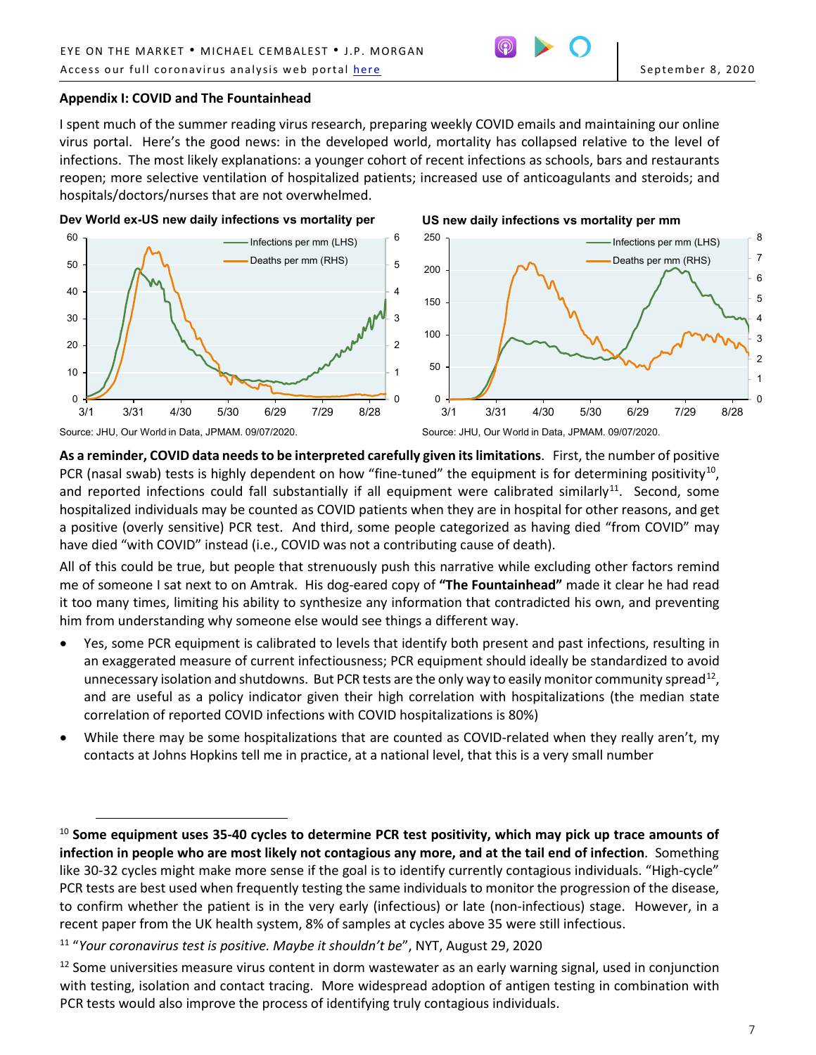## **Appendix I: COVID and The Fountainhead**

I spent much of the summer reading virus research, preparing weekly COVID emails and maintaining our online virus portal. Here's the good news: in the developed world, mortality has collapsed relative to the level of infections. The most likely explanations: a younger cohort of recent infections as schools, bars and restaurants reopen; more selective ventilation of hospitalized patients; increased use of anticoagulants and steroids; and hospitals/doctors/nurses that are not overwhelmed.

**Dev World ex-US new daily infections vs mortality per** 



**As a reminder, COVID data needs to be interpreted carefully given its limitations**. First, the number of positive PCR (nasal swab) tests is highly dependent on how "fine-tuned" the equipment is for determining positivity<sup>[10](#page-6-0)</sup>, and reported infections could fall substantially if all equipment were calibrated similarly<sup>11</sup>. Second, some hospitalized individuals may be counted as COVID patients when they are in hospital for other reasons, and get a positive (overly sensitive) PCR test. And third, some people categorized as having died "from COVID" may have died "with COVID" instead (i.e., COVID was not a contributing cause of death).

All of this could be true, but people that strenuously push this narrative while excluding other factors remind me of someone I sat next to on Amtrak. His dog-eared copy of **"The Fountainhead"** made it clear he had read it too many times, limiting his ability to synthesize any information that contradicted his own, and preventing him from understanding why someone else would see things a different way.

- Yes, some PCR equipment is calibrated to levels that identify both present and past infections, resulting in an exaggerated measure of current infectiousness; PCR equipment should ideally be standardized to avoid unnecessary isolation and shutdowns. But PCR tests are the only way to easily monitor community spread<sup>[12](#page-6-2)</sup>, and are useful as a policy indicator given their high correlation with hospitalizations (the median state correlation of reported COVID infections with COVID hospitalizations is 80%)
- While there may be some hospitalizations that are counted as COVID-related when they really aren't, my contacts at Johns Hopkins tell me in practice, at a national level, that this is a very small number

 $\overline{a}$ 

<span id="page-6-0"></span><sup>10</sup> **Some equipment uses 35-40 cycles to determine PCR test positivity, which may pick up trace amounts of infection in people who are most likely not contagious any more, and at the tail end of infection**. Something like 30-32 cycles might make more sense if the goal is to identify currently contagious individuals. "High-cycle" PCR tests are best used when frequently testing the same individuals to monitor the progression of the disease, to confirm whether the patient is in the very early (infectious) or late (non-infectious) stage. However, in a recent paper from the UK health system, 8% of samples at cycles above 35 were still infectious.

<span id="page-6-1"></span><sup>11</sup> "*Your coronavirus test is positive. Maybe it shouldn't be*", NYT, August 29, 2020

<span id="page-6-2"></span> $12$  Some universities measure virus content in dorm wastewater as an early warning signal, used in conjunction with testing, isolation and contact tracing. More widespread adoption of antigen testing in combination with PCR tests would also improve the process of identifying truly contagious individuals.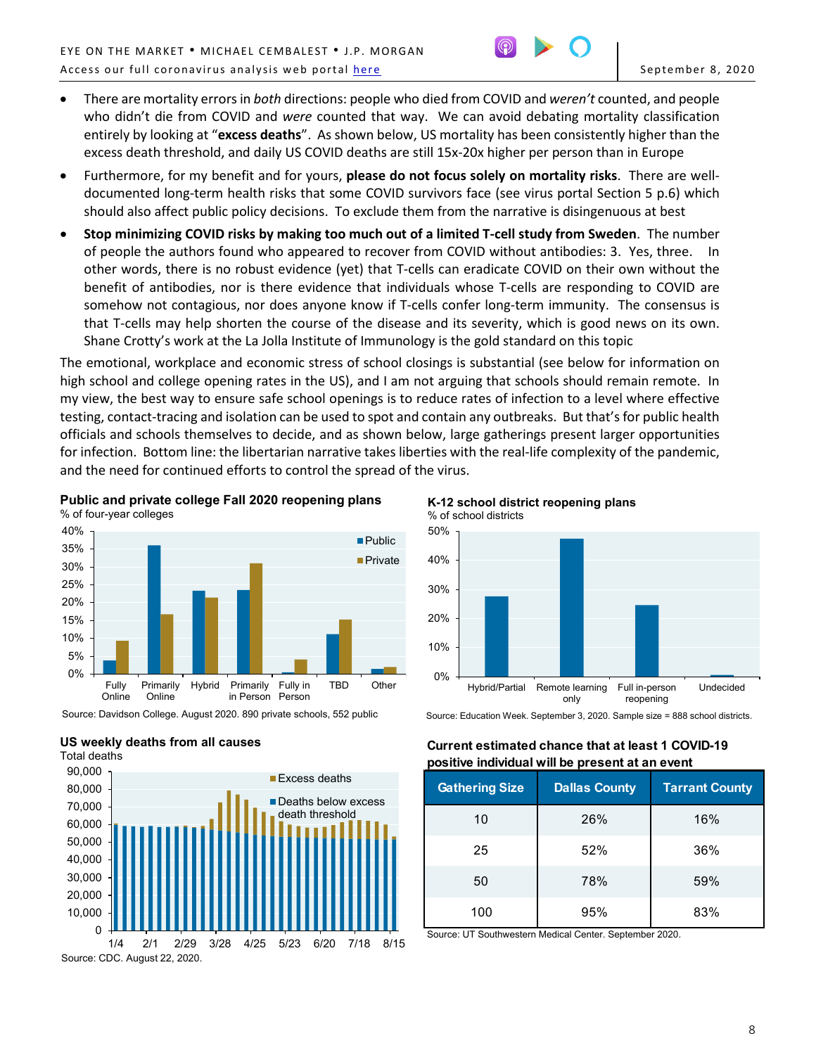

- There are mortality errors in *both* directions: people who died from COVID and *weren't* counted, and people who didn't die from COVID and *were* counted that way. We can avoid debating mortality classification entirely by looking at "**excess deaths**". As shown below, US mortality has been consistently higher than the excess death threshold, and daily US COVID deaths are still 15x-20x higher per person than in Europe
- Furthermore, for my benefit and for yours, **please do not focus solely on mortality risks**. There are welldocumented long-term health risks that some COVID survivors face (see virus portal Section 5 p.6) which should also affect public policy decisions. To exclude them from the narrative is disingenuous at best
- **Stop minimizing COVID risks by making too much out of a limited T-cell study from Sweden**. The number of people the authors found who appeared to recover from COVID without antibodies: 3. Yes, three. In other words, there is no robust evidence (yet) that T-cells can eradicate COVID on their own without the benefit of antibodies, nor is there evidence that individuals whose T-cells are responding to COVID are somehow not contagious, nor does anyone know if T-cells confer long-term immunity. The consensus is that T-cells may help shorten the course of the disease and its severity, which is good news on its own. Shane Crotty's work at the La Jolla Institute of Immunology is the gold standard on this topic

The emotional, workplace and economic stress of school closings is substantial (see below for information on high school and college opening rates in the US), and I am not arguing that schools should remain remote. In my view, the best way to ensure safe school openings is to reduce rates of infection to a level where effective testing, contact-tracing and isolation can be used to spot and contain any outbreaks. But that's for public health officials and schools themselves to decide, and as shown below, large gatherings present larger opportunities for infection. Bottom line: the libertarian narrative takes liberties with the real-life complexity of the pandemic, and the need for continued efforts to control the spread of the virus.

**Public and private college Fall 2020 reopening plans** % of four-year colleges



Source: Davidson College. August 2020. 890 private schools, 552 public





**K-12 school district reopening plans** % of school districts



Source: Education Week. September 3, 2020. Sample size = 888 school districts.

# **Current estimated chance that at least 1 COVID-19 positive individual will be present at an event**

| <b>Gathering Size</b> | <b>Dallas County</b> | <b>Tarrant County</b> |
|-----------------------|----------------------|-----------------------|
| 10                    | 26%                  | 16%                   |
| 25                    | 52%                  | 36%                   |
| 50                    | 78%                  | 59%                   |
| 100                   | 95%                  | 83%                   |

Source: UT Southwestern Medical Center. September 2020.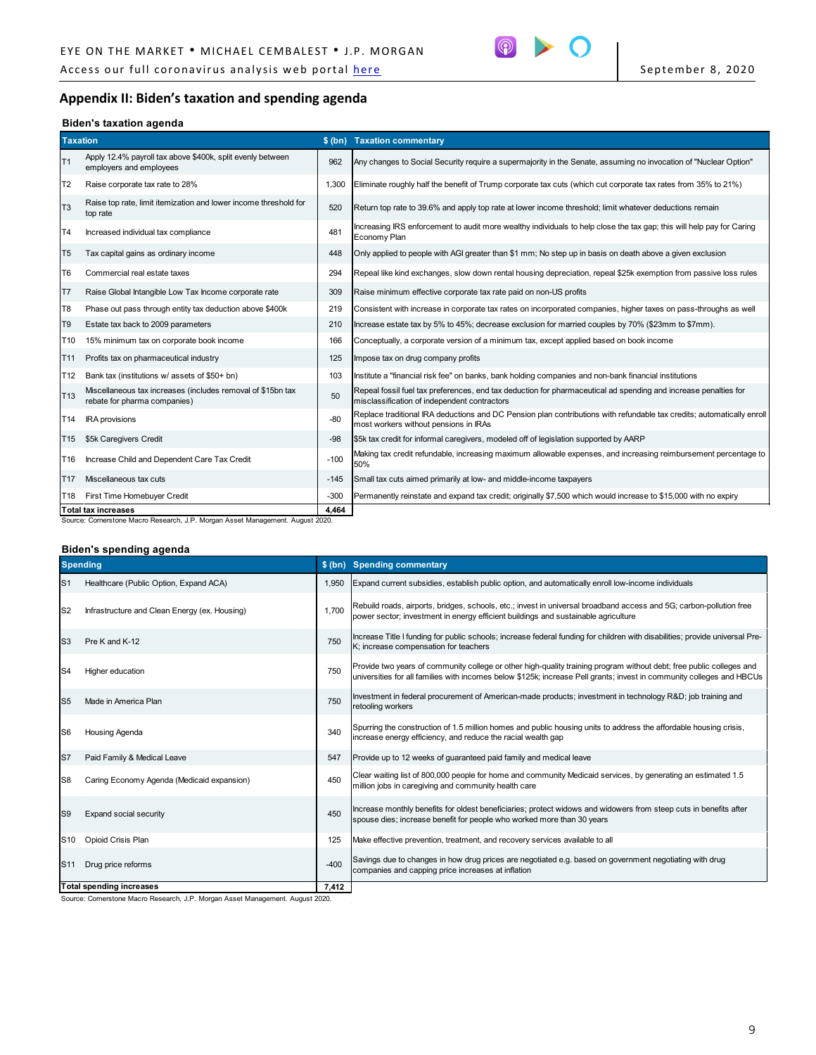Access our full coronavirus analysis web portal <u>here</u> September 8, 2020



# **Appendix II: Biden's taxation and spending agenda**

#### **Biden's taxation agenda**

| <b>Taxation</b> |                                                                                             |        | \$ (bn) Taxation commentary                                                                                                                                     |
|-----------------|---------------------------------------------------------------------------------------------|--------|-----------------------------------------------------------------------------------------------------------------------------------------------------------------|
| T1              | Apply 12.4% payroll tax above \$400k, split evenly between<br>employers and employees       | 962    | Any changes to Social Security require a supermajority in the Senate, assuming no invocation of "Nuclear Option"                                                |
| T <sub>2</sub>  | Raise corporate tax rate to 28%                                                             | 1.300  | Eliminate roughly half the benefit of Trump corporate tax cuts (which cut corporate tax rates from 35% to 21%)                                                  |
| T <sub>3</sub>  | Raise top rate, limit itemization and lower income threshold for<br>top rate                | 520    | Return top rate to 39.6% and apply top rate at lower income threshold; limit whatever deductions remain                                                         |
| T <sub>4</sub>  | Increased individual tax compliance                                                         | 481    | Increasing IRS enforcement to audit more wealthy individuals to help close the tax gap; this will help pay for Caring<br>Economy Plan                           |
| T <sub>5</sub>  | Tax capital gains as ordinary income                                                        | 448    | Only applied to people with AGI greater than \$1 mm; No step up in basis on death above a given exclusion                                                       |
| T <sub>6</sub>  | Commercial real estate taxes                                                                | 294    | Repeal like kind exchanges, slow down rental housing depreciation, repeal \$25k exemption from passive loss rules                                               |
| lT7             | Raise Global Intangible Low Tax Income corporate rate                                       | 309    | Raise minimum effective corporate tax rate paid on non-US profits                                                                                               |
| T <sub>8</sub>  | Phase out pass through entity tax deduction above \$400k                                    | 219    | Consistent with increase in corporate tax rates on incorporated companies, higher taxes on pass-throughs as well                                                |
| T <sub>9</sub>  | Estate tax back to 2009 parameters                                                          | 210    | Increase estate tax by 5% to 45%; decrease exclusion for married couples by 70% (\$23mm to \$7mm).                                                              |
| T10             | 15% minimum tax on corporate book income                                                    | 166    | Conceptually, a corporate version of a minimum tax, except applied based on book income                                                                         |
| T <sub>11</sub> | Profits tax on pharmaceutical industry                                                      | 125    | Impose tax on drug company profits                                                                                                                              |
| T12             | Bank tax (institutions w/ assets of \$50+ bn)                                               | 103    | Institute a "financial risk fee" on banks, bank holding companies and non-bank financial institutions                                                           |
| T <sub>13</sub> | Miscellaneous tax increases (includes removal of \$15bn tax<br>rebate for pharma companies) | 50     | Repeal fossil fuel tax preferences, end tax deduction for pharmaceutical ad spending and increase penalties for<br>misclassification of independent contractors |
| T <sub>14</sub> | <b>IRA</b> provisions                                                                       | $-80$  | Replace traditional IRA deductions and DC Pension plan contributions with refundable tax credits; automatically enroll<br>most workers without pensions in IRAs |
| T <sub>15</sub> | \$5k Caregivers Credit                                                                      | $-98$  | \$5k tax credit for informal caregivers, modeled off of legislation supported by AARP                                                                           |
| T16             | Increase Child and Dependent Care Tax Credit                                                | $-100$ | Making tax credit refundable, increasing maximum allowable expenses, and increasing reimbursement percentage to<br>50%                                          |
| T <sub>17</sub> | Miscellaneous tax cuts                                                                      | $-145$ | Small tax cuts aimed primarily at low- and middle-income taxpayers                                                                                              |
| T18             | First Time Homebuyer Credit                                                                 | $-300$ | Permanently reinstate and expand tax credit; originally \$7,500 which would increase to \$15,000 with no expiry                                                 |
|                 | <b>Total tax increases</b>                                                                  | 4,464  |                                                                                                                                                                 |

Source: Cornerstone Macro Research, J.P. Morgan Asset Management. August 2020.

### **Biden's spending agenda**

| <b>Spending</b> |                                               |        | \$ (bn) Spending commentary                                                                                                                                                                                                                   |
|-----------------|-----------------------------------------------|--------|-----------------------------------------------------------------------------------------------------------------------------------------------------------------------------------------------------------------------------------------------|
| IS <sub>1</sub> | Healthcare (Public Option, Expand ACA)        | 1.950  | Expand current subsidies, establish public option, and automatically enroll low-income individuals                                                                                                                                            |
| IS <sub>2</sub> | Infrastructure and Clean Energy (ex. Housing) | 1.700  | Rebuild roads, airports, bridges, schools, etc.; invest in universal broadband access and 5G; carbon-pollution free<br>power sector; investment in energy efficient buildings and sustainable agriculture                                     |
| IS <sub>3</sub> | Pre K and K-12                                | 750    | Increase Title I funding for public schools; increase federal funding for children with disabilities; provide universal Pre-<br>K; increase compensation for teachers                                                                         |
| IS <sub>4</sub> | Higher education                              | 750    | Provide two years of community college or other high-quality training program without debt; free public colleges and<br>universities for all families with incomes below \$125k; increase Pell grants; invest in community colleges and HBCUs |
| S <sub>5</sub>  | Made in America Plan                          | 750    | Investment in federal procurement of American-made products; investment in technology R&D job training and<br>retooling workers                                                                                                               |
| S <sub>6</sub>  | Housing Agenda                                | 340    | Spurring the construction of 1.5 million homes and public housing units to address the affordable housing crisis,<br>increase energy efficiency, and reduce the racial wealth gap                                                             |
| ls7             | Paid Family & Medical Leave                   | 547    | Provide up to 12 weeks of guaranteed paid family and medical leave                                                                                                                                                                            |
| S8              | Caring Economy Agenda (Medicaid expansion)    | 450    | Clear waiting list of 800,000 people for home and community Medicaid services, by generating an estimated 1.5<br>million jobs in caregiving and community health care                                                                         |
| S <sub>9</sub>  | Expand social security                        | 450    | Increase monthly benefits for oldest beneficiaries; protect widows and widowers from steep cuts in benefits after<br>spouse dies; increase benefit for people who worked more than 30 years                                                   |
| S <sub>10</sub> | Opioid Crisis Plan                            | 125    | Make effective prevention, treatment, and recovery services available to all                                                                                                                                                                  |
| S <sub>11</sub> | Drug price reforms                            | $-400$ | Savings due to changes in how drug prices are negotiated e.g. based on government negotiating with drug<br>companies and capping price increases at inflation                                                                                 |
|                 | <b>Total spending increases</b>               | 7,412  |                                                                                                                                                                                                                                               |

Source: Cornerstone Macro Research, J.P. Morgan Asset Management. August 2020.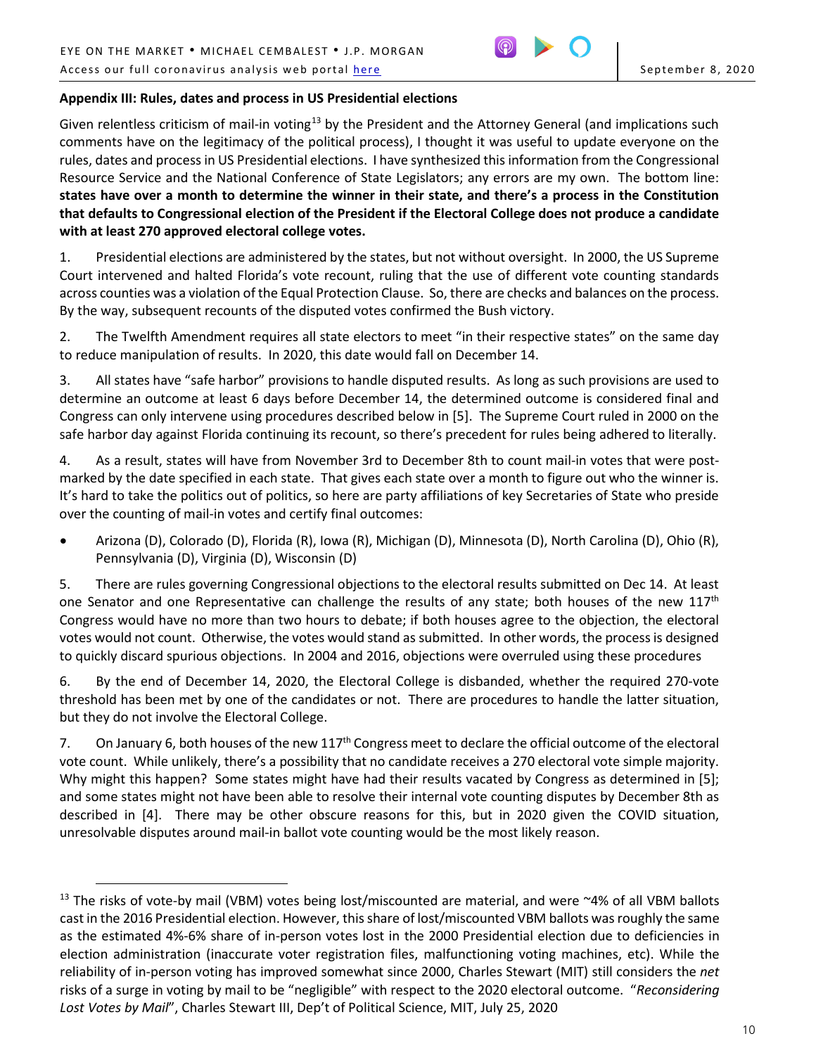$\overline{a}$ 



# **Appendix III: Rules, dates and process in US Presidential elections**

Given relentless criticism of mail-in voting<sup>[13](#page-9-0)</sup> by the President and the Attorney General (and implications such comments have on the legitimacy of the political process), I thought it was useful to update everyone on the rules, dates and process in US Presidential elections. I have synthesized this information from the Congressional Resource Service and the National Conference of State Legislators; any errors are my own. The bottom line: **states have over a month to determine the winner in their state, and there's a process in the Constitution that defaults to Congressional election of the President if the Electoral College does not produce a candidate with at least 270 approved electoral college votes.**

1. Presidential elections are administered by the states, but not without oversight. In 2000, the US Supreme Court intervened and halted Florida's vote recount, ruling that the use of different vote counting standards across counties was a violation of the Equal Protection Clause. So, there are checks and balances on the process. By the way, subsequent recounts of the disputed votes confirmed the Bush victory.

2. The Twelfth Amendment requires all state electors to meet "in their respective states" on the same day to reduce manipulation of results. In 2020, this date would fall on December 14.

3. All states have "safe harbor" provisions to handle disputed results. As long as such provisions are used to determine an outcome at least 6 days before December 14, the determined outcome is considered final and Congress can only intervene using procedures described below in [5]. The Supreme Court ruled in 2000 on the safe harbor day against Florida continuing its recount, so there's precedent for rules being adhered to literally.

4. As a result, states will have from November 3rd to December 8th to count mail-in votes that were postmarked by the date specified in each state. That gives each state over a month to figure out who the winner is. It's hard to take the politics out of politics, so here are party affiliations of key Secretaries of State who preside over the counting of mail-in votes and certify final outcomes:

• Arizona (D), Colorado (D), Florida (R), Iowa (R), Michigan (D), Minnesota (D), North Carolina (D), Ohio (R), Pennsylvania (D), Virginia (D), Wisconsin (D)

5. There are rules governing Congressional objections to the electoral results submitted on Dec 14. At least one Senator and one Representative can challenge the results of any state; both houses of the new  $117<sup>th</sup>$ Congress would have no more than two hours to debate; if both houses agree to the objection, the electoral votes would not count. Otherwise, the votes would stand as submitted. In other words, the process is designed to quickly discard spurious objections. In 2004 and 2016, objections were overruled using these procedures

6. By the end of December 14, 2020, the Electoral College is disbanded, whether the required 270-vote threshold has been met by one of the candidates or not. There are procedures to handle the latter situation, but they do not involve the Electoral College.

7. On January 6, both houses of the new  $117<sup>th</sup>$  Congress meet to declare the official outcome of the electoral vote count. While unlikely, there's a possibility that no candidate receives a 270 electoral vote simple majority. Why might this happen? Some states might have had their results vacated by Congress as determined in [5]; and some states might not have been able to resolve their internal vote counting disputes by December 8th as described in [4]. There may be other obscure reasons for this, but in 2020 given the COVID situation, unresolvable disputes around mail-in ballot vote counting would be the most likely reason.

<span id="page-9-0"></span> $13$  The risks of vote-by mail (VBM) votes being lost/miscounted are material, and were  $\sim$ 4% of all VBM ballots cast in the 2016 Presidential election. However, this share of lost/miscounted VBM ballots was roughly the same as the estimated 4%-6% share of in-person votes lost in the 2000 Presidential election due to deficiencies in election administration (inaccurate voter registration files, malfunctioning voting machines, etc). While the reliability of in-person voting has improved somewhat since 2000, Charles Stewart (MIT) still considers the *net*  risks of a surge in voting by mail to be "negligible" with respect to the 2020 electoral outcome. "*Reconsidering Lost Votes by Mail*", Charles Stewart III, Dep't of Political Science, MIT, July 25, 2020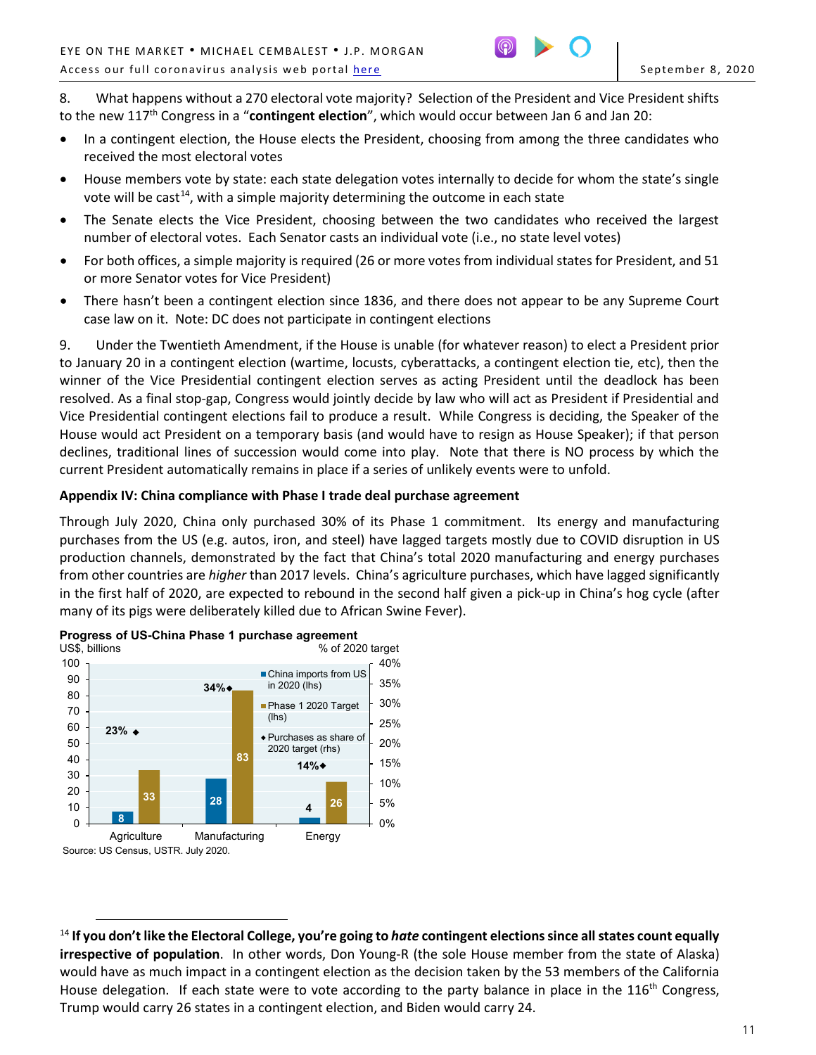

8. What happens without a 270 electoral vote majority? Selection of the President and Vice President shifts to the new 117th Congress in a "**contingent election**", which would occur between Jan 6 and Jan 20:

- In a contingent election, the House elects the President, choosing from among the three candidates who received the most electoral votes
- House members vote by state: each state delegation votes internally to decide for whom the state's single vote will be cast<sup>14</sup>, with a simple majority determining the outcome in each state
- The Senate elects the Vice President, choosing between the two candidates who received the largest number of electoral votes. Each Senator casts an individual vote (i.e., no state level votes)
- For both offices, a simple majority is required (26 or more votes from individual states for President, and 51 or more Senator votes for Vice President)
- There hasn't been a contingent election since 1836, and there does not appear to be any Supreme Court case law on it. Note: DC does not participate in contingent elections

9. Under the Twentieth Amendment, if the House is unable (for whatever reason) to elect a President prior to January 20 in a contingent election (wartime, locusts, cyberattacks, a contingent election tie, etc), then the winner of the Vice Presidential contingent election serves as acting President until the deadlock has been resolved. As a final stop-gap, Congress would jointly decide by law who will act as President if Presidential and Vice Presidential contingent elections fail to produce a result. While Congress is deciding, the Speaker of the House would act President on a temporary basis (and would have to resign as House Speaker); if that person declines, traditional lines of succession would come into play. Note that there is NO process by which the current President automatically remains in place if a series of unlikely events were to unfold.

## **Appendix IV: China compliance with Phase I trade deal purchase agreement**

Through July 2020, China only purchased 30% of its Phase 1 commitment. Its energy and manufacturing purchases from the US (e.g. autos, iron, and steel) have lagged targets mostly due to COVID disruption in US production channels, demonstrated by the fact that China's total 2020 manufacturing and energy purchases from other countries are *higher* than 2017 levels. China's agriculture purchases, which have lagged significantly in the first half of 2020, are expected to rebound in the second half given a pick-up in China's hog cycle (after many of its pigs were deliberately killed due to African Swine Fever).



<sup>100</sup>

<span id="page-10-0"></span> $\overline{a}$ <sup>14</sup> **If you don't like the Electoral College, you're going to** *hate* **contingent elections since all states count equally irrespective of population**. In other words, Don Young-R (the sole House member from the state of Alaska) would have as much impact in a contingent election as the decision taken by the 53 members of the California House delegation. If each state were to vote according to the party balance in place in the  $116<sup>th</sup>$  Congress, Trump would carry 26 states in a contingent election, and Biden would carry 24.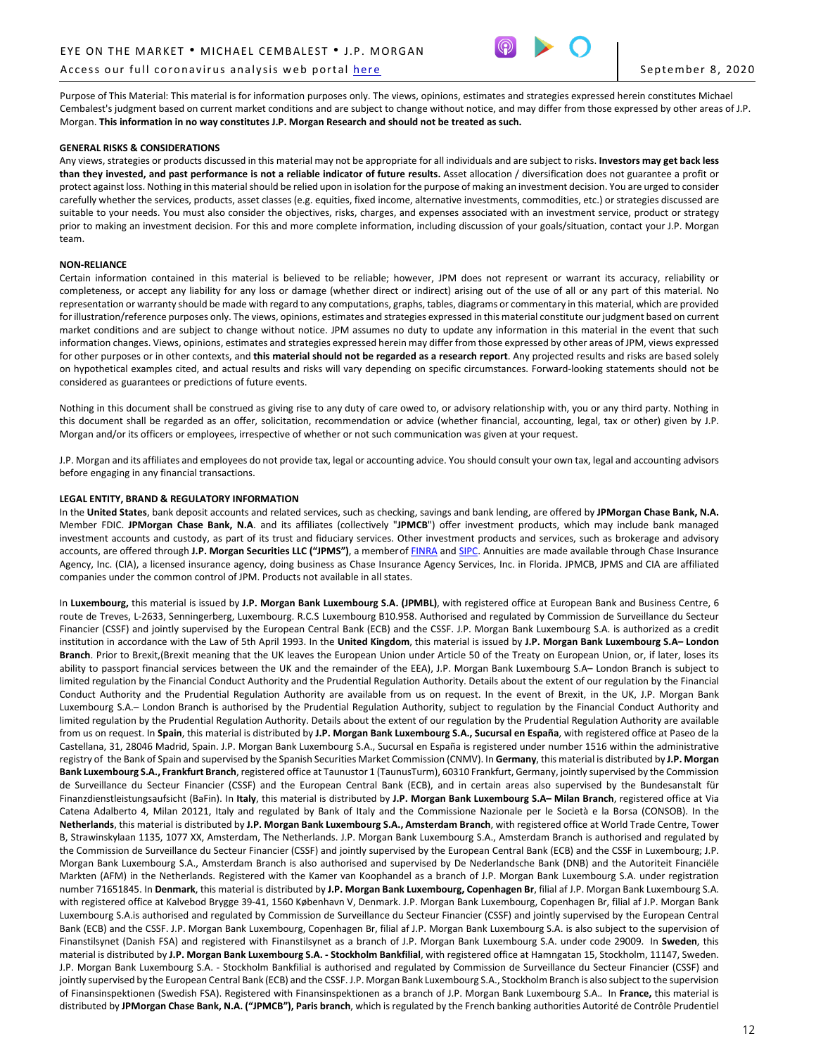#### Access our full coronavirus analysis web portal [here](https://www.jpmorgan.com/coronavirus-research) September 8, 2020



Purpose of This Material: This material is for information purposes only. The views, opinions, estimates and strategies expressed herein constitutes Michael Cembalest's judgment based on current market conditions and are subject to change without notice, and may differ from those expressed by other areas of J.P. Morgan. **This information in no way constitutes J.P. Morgan Research and should not be treated as such.**

#### **GENERAL RISKS & CONSIDERATIONS**

Any views, strategies or products discussed in this material may not be appropriate for all individuals and are subject to risks. **Investors may get back less than they invested, and past performance is not a reliable indicator of future results.** Asset allocation / diversification does not guarantee a profit or protect against loss. Nothing in this material should be relied upon in isolation for the purpose of making an investment decision. You are urged to consider carefully whether the services, products, asset classes (e.g. equities, fixed income, alternative investments, commodities, etc.) or strategies discussed are suitable to your needs. You must also consider the objectives, risks, charges, and expenses associated with an investment service, product or strategy prior to making an investment decision. For this and more complete information, including discussion of your goals/situation, contact your J.P. Morgan team.

#### **NON-RELIANCE**

Certain information contained in this material is believed to be reliable; however, JPM does not represent or warrant its accuracy, reliability or completeness, or accept any liability for any loss or damage (whether direct or indirect) arising out of the use of all or any part of this material. No representation or warranty should be made with regard to any computations, graphs, tables, diagrams or commentary in this material, which are provided for illustration/reference purposes only. The views, opinions, estimates and strategies expressed in this material constitute our judgment based on current market conditions and are subject to change without notice. JPM assumes no duty to update any information in this material in the event that such information changes. Views, opinions, estimates and strategies expressed herein may differ from those expressed by other areas of JPM, views expressed for other purposes or in other contexts, and **this material should not be regarded as a research report**. Any projected results and risks are based solely on hypothetical examples cited, and actual results and risks will vary depending on specific circumstances. Forward-looking statements should not be considered as guarantees or predictions of future events.

Nothing in this document shall be construed as giving rise to any duty of care owed to, or advisory relationship with, you or any third party. Nothing in this document shall be regarded as an offer, solicitation, recommendation or advice (whether financial, accounting, legal, tax or other) given by J.P. Morgan and/or its officers or employees, irrespective of whether or not such communication was given at your request.

J.P. Morgan and its affiliates and employees do not provide tax, legal or accounting advice. You should consult your own tax, legal and accounting advisors before engaging in any financial transactions.

#### **LEGAL ENTITY, BRAND & REGULATORY INFORMATION**

In the **United States**, bank deposit accounts and related services, such as checking, savings and bank lending, are offered by **JPMorgan Chase Bank, N.A.**  Member FDIC. **JPMorgan Chase Bank, N.A**. and its affiliates (collectively "**JPMCB**") offer investment products, which may include bank managed investment accounts and custody, as part of its trust and fiduciary services. Other investment products and services, such as brokerage and advisory accounts, are offered through **J.P. Morgan Securities LLC ("JPMS")**, a memberof [FINRA](http://www.finra.org/) and [SIPC.](http://www.sipc.org/) Annuities are made available through Chase Insurance Agency, Inc. (CIA), a licensed insurance agency, doing business as Chase Insurance Agency Services, Inc. in Florida. JPMCB, JPMS and CIA are affiliated companies under the common control of JPM. Products not available in all states.

In **Luxembourg,** this material is issued by **J.P. Morgan Bank Luxembourg S.A. (JPMBL)**, with registered office at European Bank and Business Centre, 6 route de Treves, L-2633, Senningerberg, Luxembourg. R.C.S Luxembourg B10.958. Authorised and regulated by Commission de Surveillance du Secteur Financier (CSSF) and jointly supervised by the European Central Bank (ECB) and the CSSF. J.P. Morgan Bank Luxembourg S.A. is authorized as a credit institution in accordance with the Law of 5th April 1993. In the **United Kingdom**, this material is issued by **J.P. Morgan Bank Luxembourg S.A– London Branch**. Prior to Brexit,(Brexit meaning that the UK leaves the European Union under Article 50 of the Treaty on European Union, or, if later, loses its ability to passport financial services between the UK and the remainder of the EEA), J.P. Morgan Bank Luxembourg S.A– London Branch is subject to limited regulation by the Financial Conduct Authority and the Prudential Regulation Authority. Details about the extent of our regulation by the Financial Conduct Authority and the Prudential Regulation Authority are available from us on request. In the event of Brexit, in the UK, J.P. Morgan Bank Luxembourg S.A.– London Branch is authorised by the Prudential Regulation Authority, subject to regulation by the Financial Conduct Authority and limited regulation by the Prudential Regulation Authority. Details about the extent of our regulation by the Prudential Regulation Authority are available from us on request. In **Spain**, this material is distributed by **J.P. Morgan Bank Luxembourg S.A., Sucursal en España**, with registered office at Paseo de la Castellana, 31, 28046 Madrid, Spain. J.P. Morgan Bank Luxembourg S.A., Sucursal en España is registered under number 1516 within the administrative registry of the Bank of Spain and supervised by the Spanish Securities Market Commission (CNMV). In **Germany**, this material is distributed by **J.P. Morgan Bank Luxembourg S.A., Frankfurt Branch**, registered office at Taunustor 1 (TaunusTurm), 60310 Frankfurt, Germany, jointly supervised by the Commission de Surveillance du Secteur Financier (CSSF) and the European Central Bank (ECB), and in certain areas also supervised by the Bundesanstalt für Finanzdienstleistungsaufsicht (BaFin). In **Italy**, this material is distributed by **J.P. Morgan Bank Luxembourg S.A– Milan Branch**, registered office at Via Catena Adalberto 4, Milan 20121, Italy and regulated by Bank of Italy and the Commissione Nazionale per le Società e la Borsa (CONSOB). In the **Netherlands**, this material is distributed by **J.P. Morgan Bank Luxembourg S.A., Amsterdam Branch**, with registered office at World Trade Centre, Tower B, Strawinskylaan 1135, 1077 XX, Amsterdam, The Netherlands. J.P. Morgan Bank Luxembourg S.A., Amsterdam Branch is authorised and regulated by the Commission de Surveillance du Secteur Financier (CSSF) and jointly supervised by the European Central Bank (ECB) and the CSSF in Luxembourg; J.P. Morgan Bank Luxembourg S.A., Amsterdam Branch is also authorised and supervised by De Nederlandsche Bank (DNB) and the Autoriteit Financiële Markten (AFM) in the Netherlands. Registered with the Kamer van Koophandel as a branch of J.P. Morgan Bank Luxembourg S.A. under registration number 71651845. In **Denmark**, this material is distributed by **J.P. Morgan Bank Luxembourg, Copenhagen Br**, filial af J.P. Morgan Bank Luxembourg S.A. with registered office at Kalvebod Brygge 39-41, 1560 København V, Denmark. J.P. Morgan Bank Luxembourg, Copenhagen Br, filial af J.P. Morgan Bank Luxembourg S.A.is authorised and regulated by Commission de Surveillance du Secteur Financier (CSSF) and jointly supervised by the European Central Bank (ECB) and the CSSF. J.P. Morgan Bank Luxembourg, Copenhagen Br, filial af J.P. Morgan Bank Luxembourg S.A. is also subject to the supervision of Finanstilsynet (Danish FSA) and registered with Finanstilsynet as a branch of J.P. Morgan Bank Luxembourg S.A. under code 29009*.* In **Sweden**, this material is distributed by **J.P. Morgan Bank Luxembourg S.A. - Stockholm Bankfilial**, with registered office at Hamngatan 15, Stockholm, 11147, Sweden. J.P. Morgan Bank Luxembourg S.A. - Stockholm Bankfilial is authorised and regulated by Commission de Surveillance du Secteur Financier (CSSF) and jointly supervised by the European Central Bank (ECB) and the CSSF. J.P. Morgan Bank Luxembourg S.A., Stockholm Branch is also subject to the supervision of Finansinspektionen (Swedish FSA). Registered with Finansinspektionen as a branch of J.P. Morgan Bank Luxembourg S.A.*.* In **France,** this material is distributed by **JPMorgan Chase Bank, N.A. ("JPMCB"), Paris branch**, which is regulated by the French banking authorities Autorité de Contrôle Prudentiel